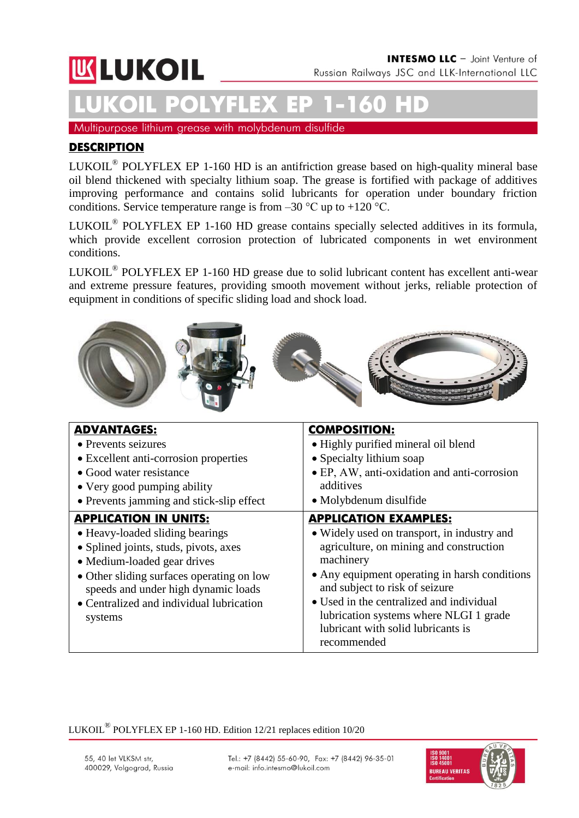# **UK LUKOIL**

# **LUKOIL POLYFLEX ЕР 1-160 HD**

Multipurpose lithium grease with molybdenum disulfide

### **DESCRIPTION**

LUKOIL<sup>®</sup> POLYFLEX EP 1-160 HD is an antifriction grease based on high-quality mineral base oil blend thickened with specialty lithium soap. The grease is fortified with package of additives improving performance and contains solid lubricants for operation under boundary friction conditions. Service temperature range is from  $-30$  °C up to  $+120$  °C.

LUKOIL® POLYFLEX ЕР 1-160 HD grease contains specially selected additives in its formula, which provide excellent corrosion protection of lubricated components in wet environment conditions.

LUKOIL<sup>®</sup> POLYFLEX EP 1-160 HD grease due to solid lubricant content has excellent anti-wear and extreme pressure features, providing smooth movement without jerks, reliable protection of equipment in conditions of specific sliding load and shock load.



| <b>ADVANTAGES:</b>                                                                                                                                                                                                                                 | <b>COMPOSITION:</b>                                                                                                                                                                                                                                                                                                               |  |  |
|----------------------------------------------------------------------------------------------------------------------------------------------------------------------------------------------------------------------------------------------------|-----------------------------------------------------------------------------------------------------------------------------------------------------------------------------------------------------------------------------------------------------------------------------------------------------------------------------------|--|--|
| • Prevents seizures                                                                                                                                                                                                                                | • Highly purified mineral oil blend                                                                                                                                                                                                                                                                                               |  |  |
| • Excellent anti-corrosion properties                                                                                                                                                                                                              | • Specialty lithium soap                                                                                                                                                                                                                                                                                                          |  |  |
| • Good water resistance                                                                                                                                                                                                                            | • EP, AW, anti-oxidation and anti-corrosion                                                                                                                                                                                                                                                                                       |  |  |
| • Very good pumping ability                                                                                                                                                                                                                        | additives                                                                                                                                                                                                                                                                                                                         |  |  |
| • Prevents jamming and stick-slip effect                                                                                                                                                                                                           | • Molybdenum disulfide                                                                                                                                                                                                                                                                                                            |  |  |
| <b>APPLICATION IN UNITS:</b>                                                                                                                                                                                                                       | <b>APPLICATION EXAMPLES:</b>                                                                                                                                                                                                                                                                                                      |  |  |
| • Heavy-loaded sliding bearings<br>• Splined joints, studs, pivots, axes<br>• Medium-loaded gear drives<br>• Other sliding surfaces operating on low<br>speeds and under high dynamic loads<br>• Centralized and individual lubrication<br>systems | • Widely used on transport, in industry and<br>agriculture, on mining and construction<br>machinery<br>• Any equipment operating in harsh conditions<br>and subject to risk of seizure<br>• Used in the centralized and individual<br>lubrication systems where NLGI 1 grade<br>lubricant with solid lubricants is<br>recommended |  |  |

LUKOIL $^{\circledR}$  POLYFLEX EP 1-160 HD. Edition 12/21 replaces edition 10/20